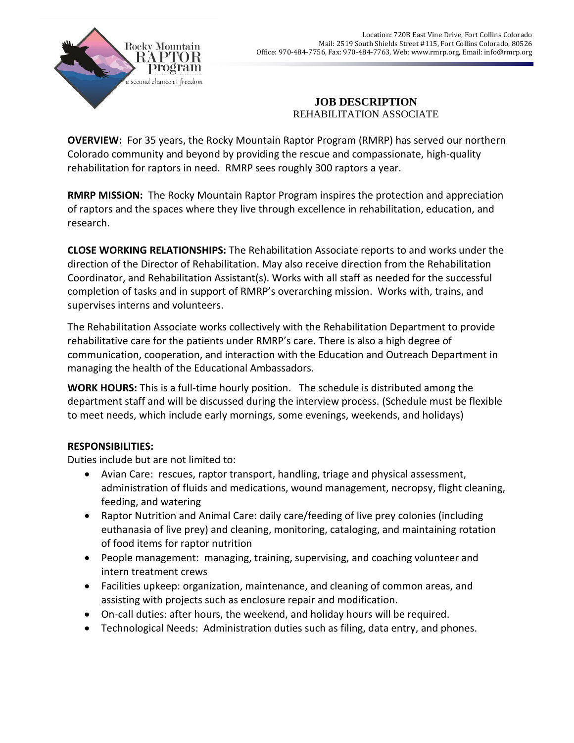

## **JOB DESCRIPTION** REHABILITATION ASSOCIATE

**OVERVIEW:** For 35 years, the Rocky Mountain Raptor Program (RMRP) has served our northern Colorado community and beyond by providing the rescue and compassionate, high-quality rehabilitation for raptors in need. RMRP sees roughly 300 raptors a year.

**RMRP MISSION:** The Rocky Mountain Raptor Program inspires the protection and appreciation of raptors and the spaces where they live through excellence in rehabilitation, education, and research.

**CLOSE WORKING RELATIONSHIPS:** The Rehabilitation Associate reports to and works under the direction of the Director of Rehabilitation. May also receive direction from the Rehabilitation Coordinator, and Rehabilitation Assistant(s). Works with all staff as needed for the successful completion of tasks and in support of RMRP's overarching mission. Works with, trains, and supervises interns and volunteers.

The Rehabilitation Associate works collectively with the Rehabilitation Department to provide rehabilitative care for the patients under RMRP's care. There is also a high degree of communication, cooperation, and interaction with the Education and Outreach Department in managing the health of the Educational Ambassadors.

**WORK HOURS:** This is a full-time hourly position. The schedule is distributed among the department staff and will be discussed during the interview process. (Schedule must be flexible to meet needs, which include early mornings, some evenings, weekends, and holidays)

## **RESPONSIBILITIES:**

Duties include but are not limited to:

- Avian Care: rescues, raptor transport, handling, triage and physical assessment, administration of fluids and medications, wound management, necropsy, flight cleaning, feeding, and watering
- Raptor Nutrition and Animal Care: daily care/feeding of live prey colonies (including euthanasia of live prey) and cleaning, monitoring, cataloging, and maintaining rotation of food items for raptor nutrition
- People management: managing, training, supervising, and coaching volunteer and intern treatment crews
- Facilities upkeep: organization, maintenance, and cleaning of common areas, and assisting with projects such as enclosure repair and modification.
- On-call duties: after hours, the weekend, and holiday hours will be required.
- Technological Needs: Administration duties such as filing, data entry, and phones.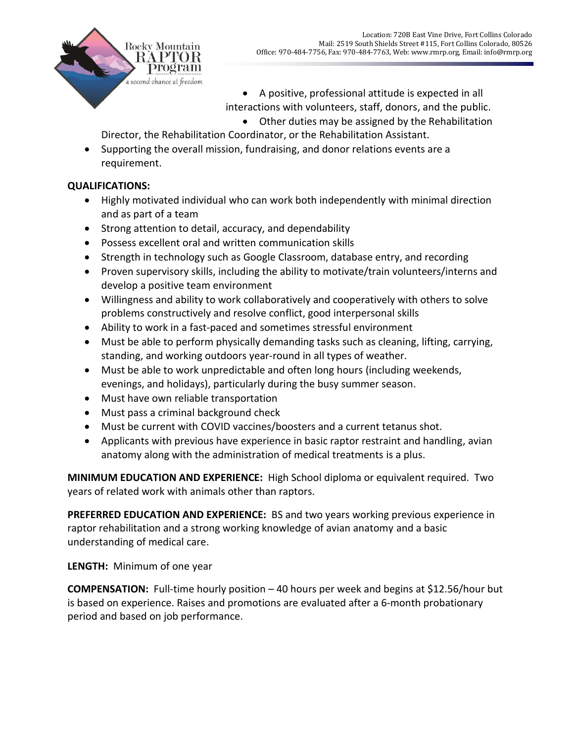

 A positive, professional attitude is expected in all interactions with volunteers, staff, donors, and the public. Other duties may be assigned by the Rehabilitation

Director, the Rehabilitation Coordinator, or the Rehabilitation Assistant.

• Supporting the overall mission, fundraising, and donor relations events are a requirement.

## **QUALIFICATIONS:**

- Highly motivated individual who can work both independently with minimal direction and as part of a team
- Strong attention to detail, accuracy, and dependability
- Possess excellent oral and written communication skills
- Strength in technology such as Google Classroom, database entry, and recording
- Proven supervisory skills, including the ability to motivate/train volunteers/interns and develop a positive team environment
- Willingness and ability to work collaboratively and cooperatively with others to solve problems constructively and resolve conflict, good interpersonal skills
- Ability to work in a fast-paced and sometimes stressful environment
- Must be able to perform physically demanding tasks such as cleaning, lifting, carrying, standing, and working outdoors year-round in all types of weather.
- Must be able to work unpredictable and often long hours (including weekends, evenings, and holidays), particularly during the busy summer season.
- Must have own reliable transportation
- Must pass a criminal background check
- Must be current with COVID vaccines/boosters and a current tetanus shot.
- Applicants with previous have experience in basic raptor restraint and handling, avian anatomy along with the administration of medical treatments is a plus.

**MINIMUM EDUCATION AND EXPERIENCE:** High School diploma or equivalent required. Two years of related work with animals other than raptors.

**PREFERRED EDUCATION AND EXPERIENCE:** BS and two years working previous experience in raptor rehabilitation and a strong working knowledge of avian anatomy and a basic understanding of medical care.

**LENGTH:** Minimum of one year

**COMPENSATION:** Full-time hourly position – 40 hours per week and begins at \$12.56/hour but is based on experience. Raises and promotions are evaluated after a 6-month probationary period and based on job performance.